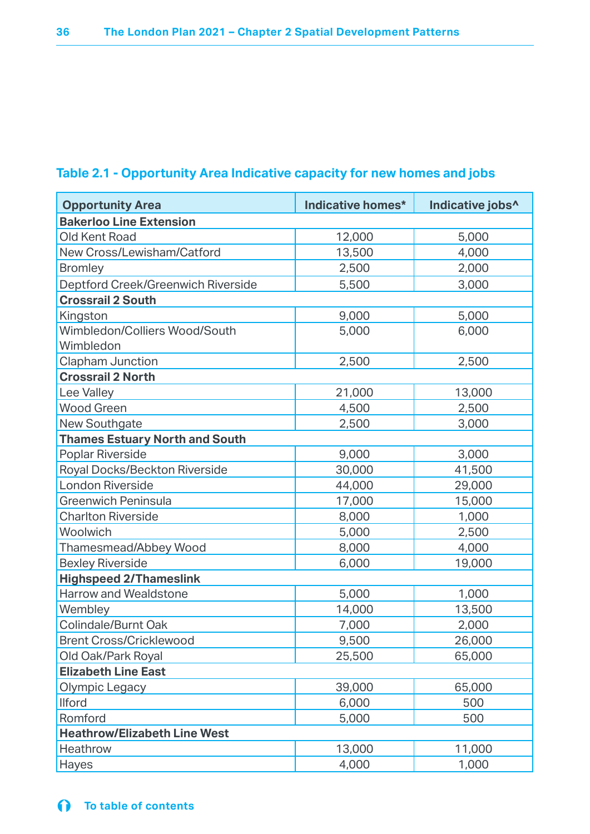## **Table 2.1 - Opportunity Area Indicative capacity for new homes and jobs**

| <b>Opportunity Area</b>               | Indicative homes* | Indicative jobs^ |  |
|---------------------------------------|-------------------|------------------|--|
| <b>Bakerloo Line Extension</b>        |                   |                  |  |
| Old Kent Road                         | 12,000            | 5,000            |  |
| New Cross/Lewisham/Catford            | 13,500            | 4,000            |  |
| <b>Bromley</b>                        | 2,500             | 2,000            |  |
| Deptford Creek/Greenwich Riverside    | 5,500             | 3,000            |  |
| <b>Crossrail 2 South</b>              |                   |                  |  |
| Kingston                              | 9,000             | 5,000            |  |
| Wimbledon/Colliers Wood/South         | 5,000             | 6,000            |  |
| Wimbledon                             |                   |                  |  |
| <b>Clapham Junction</b>               | 2,500             | 2,500            |  |
| <b>Crossrail 2 North</b>              |                   |                  |  |
| Lee Valley                            | 21,000            | 13,000           |  |
| <b>Wood Green</b>                     | 4,500             | 2,500            |  |
| <b>New Southgate</b>                  | 2,500             | 3,000            |  |
| <b>Thames Estuary North and South</b> |                   |                  |  |
| Poplar Riverside                      | 9,000             | 3,000            |  |
| Royal Docks/Beckton Riverside         | 30,000            | 41,500           |  |
| <b>London Riverside</b>               | 44,000            | 29,000           |  |
| <b>Greenwich Peninsula</b>            | 17,000            | 15,000           |  |
| <b>Charlton Riverside</b>             | 8,000             | 1,000            |  |
| Woolwich                              | 5,000             | 2,500            |  |
| Thamesmead/Abbey Wood                 | 8,000             | 4,000            |  |
| <b>Bexley Riverside</b>               | 6,000             | 19,000           |  |
| <b>Highspeed 2/Thameslink</b>         |                   |                  |  |
| Harrow and Wealdstone                 | 5,000             | 1,000            |  |
| Wembley                               | 14,000            | 13,500           |  |
| Colindale/Burnt Oak                   | 7,000             | 2,000            |  |
| <b>Brent Cross/Cricklewood</b>        | 9,500             | 26,000           |  |
| Old Oak/Park Royal                    | 25,500            | 65,000           |  |
| <b>Elizabeth Line East</b>            |                   |                  |  |
| Olympic Legacy                        | 39,000            | 65,000           |  |
| <b>Ilford</b>                         | 6,000             | 500              |  |
| Romford                               | 5,000             | 500              |  |
| <b>Heathrow/Elizabeth Line West</b>   |                   |                  |  |
| Heathrow                              | 13,000            | 11,000           |  |
| Hayes                                 | 4,000             | 1,000            |  |